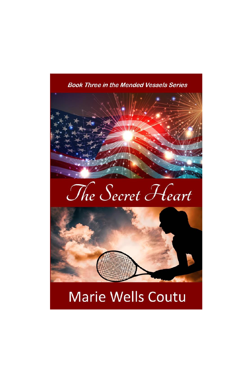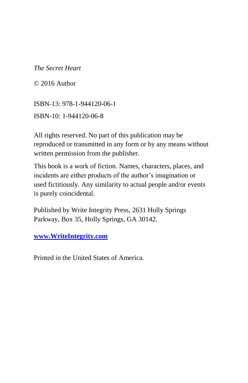© 2016 Author

ISBN-13: 978-1-944120-06-1 ISBN-10: 1-944120-06-8

All rights reserved. No part of this publication may be reproduced or transmitted in any form or by any means without written permission from the publisher.

This book is a work of fiction. Names, characters, places, and incidents are either products of the author's imagination or used fictitiously. Any similarity to actual people and/or events is purely coincidental.

Published by Write Integrity Press, 2631 Holly Springs Parkway, Box 35, Holly Springs, GA 30142.

**[www.WriteIntegrity.com](http://www.writeintegrity.com/)**

Printed in the United States of America.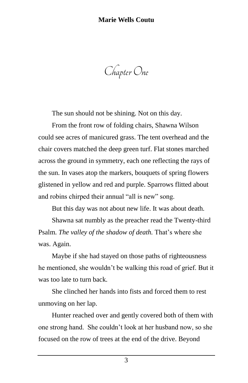Chapter One

The sun should not be shining. Not on this day.

From the front row of folding chairs, Shawna Wilson could see acres of manicured grass. The tent overhead and the chair covers matched the deep green turf. Flat stones marched across the ground in symmetry, each one reflecting the rays of the sun. In vases atop the markers, bouquets of spring flowers glistened in yellow and red and purple. Sparrows flitted about and robins chirped their annual "all is new" song.

But this day was not about new life. It was about death.

Shawna sat numbly as the preacher read the Twenty-third Psalm. *The valley of the shadow of death.* That's where she was. Again.

Maybe if she had stayed on those paths of righteousness he mentioned, she wouldn't be walking this road of grief. But it was too late to turn back.

She clinched her hands into fists and forced them to rest unmoving on her lap.

Hunter reached over and gently covered both of them with one strong hand. She couldn't look at her husband now, so she focused on the row of trees at the end of the drive. Beyond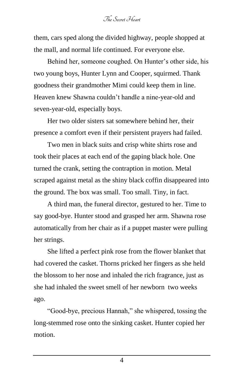them, cars sped along the divided highway, people shopped at the mall, and normal life continued. For everyone else.

Behind her, someone coughed. On Hunter's other side, his two young boys, Hunter Lynn and Cooper, squirmed. Thank goodness their grandmother Mimi could keep them in line. Heaven knew Shawna couldn't handle a nine-year-old and seven-year-old, especially boys.

Her two older sisters sat somewhere behind her, their presence a comfort even if their persistent prayers had failed.

Two men in black suits and crisp white shirts rose and took their places at each end of the gaping black hole. One turned the crank, setting the contraption in motion. Metal scraped against metal as the shiny black coffin disappeared into the ground. The box was small. Too small. Tiny, in fact.

A third man, the funeral director, gestured to her. Time to say good-bye. Hunter stood and grasped her arm. Shawna rose automatically from her chair as if a puppet master were pulling her strings.

She lifted a perfect pink rose from the flower blanket that had covered the casket. Thorns pricked her fingers as she held the blossom to her nose and inhaled the rich fragrance, just as she had inhaled the sweet smell of her newborn two weeks ago.

"Good-bye, precious Hannah," she whispered, tossing the long-stemmed rose onto the sinking casket. Hunter copied her motion.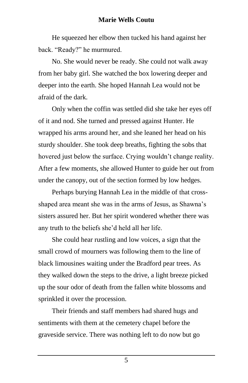He squeezed her elbow then tucked his hand against her back. "Ready?" he murmured.

No. She would never be ready. She could not walk away from her baby girl. She watched the box lowering deeper and deeper into the earth. She hoped Hannah Lea would not be afraid of the dark.

Only when the coffin was settled did she take her eyes off of it and nod. She turned and pressed against Hunter. He wrapped his arms around her, and she leaned her head on his sturdy shoulder. She took deep breaths, fighting the sobs that hovered just below the surface. Crying wouldn't change reality. After a few moments, she allowed Hunter to guide her out from under the canopy, out of the section formed by low hedges.

Perhaps burying Hannah Lea in the middle of that crossshaped area meant she was in the arms of Jesus, as Shawna's sisters assured her. But her spirit wondered whether there was any truth to the beliefs she'd held all her life.

She could hear rustling and low voices, a sign that the small crowd of mourners was following them to the line of black limousines waiting under the Bradford pear trees. As they walked down the steps to the drive, a light breeze picked up the sour odor of death from the fallen white blossoms and sprinkled it over the procession.

Their friends and staff members had shared hugs and sentiments with them at the cemetery chapel before the graveside service. There was nothing left to do now but go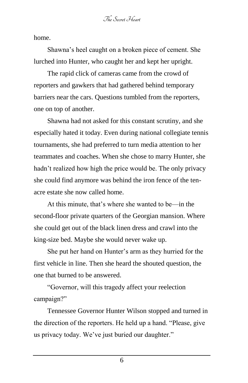home.

Shawna's heel caught on a broken piece of cement. She lurched into Hunter, who caught her and kept her upright.

The rapid click of cameras came from the crowd of reporters and gawkers that had gathered behind temporary barriers near the cars. Questions tumbled from the reporters, one on top of another.

Shawna had not asked for this constant scrutiny, and she especially hated it today. Even during national collegiate tennis tournaments, she had preferred to turn media attention to her teammates and coaches. When she chose to marry Hunter, she hadn't realized how high the price would be. The only privacy she could find anymore was behind the iron fence of the tenacre estate she now called home.

At this minute, that's where she wanted to be—in the second-floor private quarters of the Georgian mansion. Where she could get out of the black linen dress and crawl into the king-size bed. Maybe she would never wake up.

She put her hand on Hunter's arm as they hurried for the first vehicle in line. Then she heard the shouted question, the one that burned to be answered.

"Governor, will this tragedy affect your reelection campaign?"

Tennessee Governor Hunter Wilson stopped and turned in the direction of the reporters. He held up a hand. "Please, give us privacy today. We've just buried our daughter."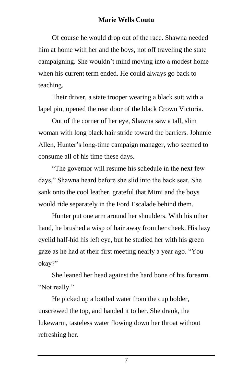Of course he would drop out of the race. Shawna needed him at home with her and the boys, not off traveling the state campaigning. She wouldn't mind moving into a modest home when his current term ended. He could always go back to teaching.

Their driver, a state trooper wearing a black suit with a lapel pin, opened the rear door of the black Crown Victoria.

Out of the corner of her eye, Shawna saw a tall, slim woman with long black hair stride toward the barriers. Johnnie Allen, Hunter's long-time campaign manager, who seemed to consume all of his time these days.

"The governor will resume his schedule in the next few days," Shawna heard before she slid into the back seat. She sank onto the cool leather, grateful that Mimi and the boys would ride separately in the Ford Escalade behind them.

Hunter put one arm around her shoulders. With his other hand, he brushed a wisp of hair away from her cheek. His lazy eyelid half-hid his left eye, but he studied her with his green gaze as he had at their first meeting nearly a year ago. "You okay?"

She leaned her head against the hard bone of his forearm. "Not really."

He picked up a bottled water from the cup holder, unscrewed the top, and handed it to her. She drank, the lukewarm, tasteless water flowing down her throat without refreshing her.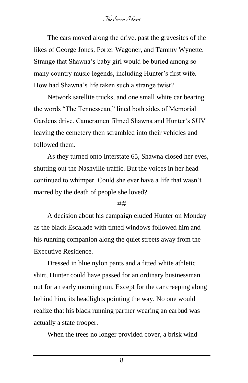The cars moved along the drive, past the gravesites of the likes of George Jones, Porter Wagoner, and Tammy Wynette. Strange that Shawna's baby girl would be buried among so many country music legends, including Hunter's first wife. How had Shawna's life taken such a strange twist?

Network satellite trucks, and one small white [car](scrivcmt://f633f9a0-fa77-4d4d-9927-761b7f806909/) bearing the words "The Tennessean," lined both sides of Memorial Gardens drive. Cameramen filmed Shawna and Hunter's SUV leaving the cemetery then scrambled into their vehicles and followed them.

As they turned onto Interstate 65, Shawna closed her eyes, shutting out the Nashville traffic. But the voices in her head continued to whimper. Could she ever have a life that wasn't marred by the death of people she loved?

#### ##

A decision about his campaign eluded Hunter on Monday as the black Escalade with tinted windows followed him and his running companion along the quiet streets away from the Executive Residence.

Dressed in blue nylon pants and a fitted white athletic shirt, Hunter could have passed for an ordinary businessman out for an early morning run. Except for the car creeping along behind him, its headlights pointing the way. No one would realize that his black running partner wearing an earbud was actually a state trooper.

When the trees no longer provided cover, a brisk wind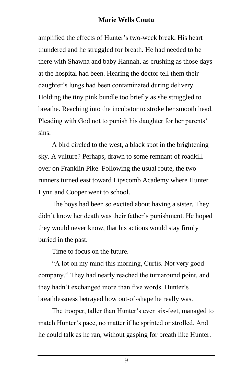amplified the effects of Hunter's two-week break. His heart thundered and he struggled for breath. He had needed to be there with Shawna and baby Hannah, as crushing as those days at the hospital had been. Hearing the doctor tell them their daughter's lungs had been contaminated during delivery. Holding the tiny pink bundle too briefly as she [struggled](scrivcmt://196b9b83-7012-4fbc-8698-9ee058de6c1d/) to breathe. Reaching into the incubator to stroke her smooth head. Pleading with God not to punish his daughter for her parents' sins.

A bird circled to the west, a black spot in the brightening sky. A vulture? Perhaps, drawn to some remnant of roadkill over on Franklin Pike. Following the usual route, the two runners turned east toward Lipscomb Academy where Hunter Lynn and Cooper went to school.

The boys had been so excited about having a sister. They didn't know her death was their father's punishment. He hoped they would never know, that his actions would stay firmly buried in the past.

Time to focus on the future.

"A lot on my mind this morning, Curtis. Not very good company." They had nearly reached the turnaround point, and they hadn't exchanged more than five words. Hunter's breathlessness betrayed how out-of-shape he really was.

The trooper, taller than Hunter's even six-feet, managed to match Hunter's pace, no matter if he sprinted or strolled. And he could talk as he ran, without gasping for breath like Hunter.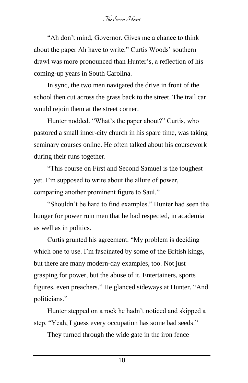"Ah don't mind, Governor. Gives me a chance to think about the paper Ah have to write." Curtis Woods' southern drawl was more pronounced than Hunter's, a reflection of his coming-up years in South Carolina.

In sync, the two men navigated the drive in front of the school then cut across the grass back to the street. The trail car would rejoin them at the street corner.

Hunter nodded. "What's the paper about?" Curtis, who pastored a small inner-city church in his spare time, was taking seminary courses online. He often talked about his coursework during their runs together.

"This course on First and Second Samuel is the toughest yet. I'm supposed to write about the allure of power, comparing another prominent figure to Saul."

"Shouldn't be hard to find examples." Hunter had seen the hunger for power ruin men that he had respected, in academia as well as in politics.

Curtis grunted his agreement. "My problem is deciding which one to use. I'm fascinated by some of the British kings, but there are many modern-day examples, too. Not just grasping for power, but the abuse of it. Entertainers, sports figures, even preachers." He glanced sideways at Hunter. "And politicians."

Hunter stepped on a rock he hadn't noticed and skipped a step. "Yeah, I guess every occupation has some bad seeds."

They turned through the wide gate in the iron fence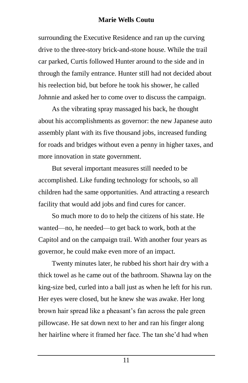surrounding the Executive Residence and ran up the curving drive to the three-story brick-and-stone house. While the trail car parked, Curtis followed Hunter around to the side and in through the family entrance. Hunter still had not decided about his reelection bid, but before he took his shower, he called Johnnie and asked her to come over to discuss the campaign.

As the vibrating spray massaged his back, he thought about his accomplishments as governor: the new Japanese auto assembly plant with its five thousand jobs, increased funding for roads and bridges without even a penny in higher taxes, and more innovation in state government.

But several important measures still needed to be accomplished. Like funding technology for schools, so all children had the same opportunities. And attracting a research facility that would add jobs and find cures for cancer.

So much more to do to help the citizens of his state. He wanted—no, he needed—to get back to work, both at the Capitol and on the campaign trail. With another four years as governor, he could make even more of an impact.

Twenty minutes later, he rubbed his short hair dry with a thick towel as he came out of the bathroom. Shawna lay on the king-size bed, curled into a ball just as when he left for his run. Her eyes were closed, but he knew she was awake. Her long brown hair spread like a pheasant's fan across the pale green pillowcase. He sat down next to her and ran his finger along her hairline where it framed her face. The tan she'd had when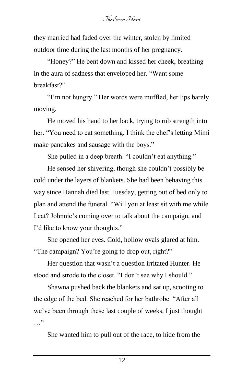they married had faded over the winter, stolen by limited outdoor time during the last months of her pregnancy.

"Honey?" He bent down and kissed her cheek, breathing in the aura of sadness that enveloped her. "Want some breakfast?"

"I'm not hungry." Her words were muffled, her lips barely moving.

He moved his hand to her back, trying to rub strength into her. "You need to eat something. I think the chef's letting Mimi make pancakes and sausage with the boys."

She pulled in a deep breath. "I couldn't eat anything."

He sensed her shivering, though she couldn't possibly be cold under the layers of blankets. She had been behaving this way since Hannah died last Tuesday, getting out of bed only to plan and attend the funeral. "Will you at least sit with me while I eat? Johnnie's coming over to talk about the campaign, and I'd like to know your thoughts."

She opened her eyes. Cold, hollow ovals glared at him. "The campaign? You're going to drop out, right?"

Her question that wasn't a question irritated Hunter. He stood and strode to the closet. "I don't see why I should."

Shawna pushed back the blankets and sat up, scooting to the edge of the bed. She reached for her bathrobe. "After all we've been through these last couple of weeks, I just thought …"

She wanted him to pull out of the race, to hide from the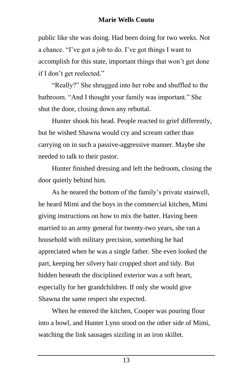public like she was doing. Had been doing for two weeks. Not a chance. "I've got a job to do. I've got things I want to accomplish for this state, important things that won't get done if I don't get reelected."

"Really?" She shrugged into her robe and shuffled to the bathroom. "And I thought your family was important." She shut the door, closing down any rebuttal.

Hunter shook his head. People reacted to grief differently, but he wished Shawna would cry and scream rather than carrying on in such a passive-aggressive manner. Maybe she needed to talk to their pastor.

Hunter finished dressing and left the bedroom, closing the door quietly behind him.

As he neared the bottom of the family's private stairwell, he heard Mimi and the boys in the commercial kitchen, Mimi giving instructions on how to mix the batter. Having been married to an army general for twenty-two years, she ran a household with military precision, something he had appreciated when he was a single father. She even looked the part, keeping her silvery hair cropped short and tidy. But hidden beneath the disciplined exterior was a soft heart, especially for her grandchildren. If only she would give Shawna the same respect she expected.

When he entered the kitchen, Cooper was pouring flour into a bowl, and Hunter Lynn stood on the other side of Mimi, watching the link sausages sizzling in an iron skillet.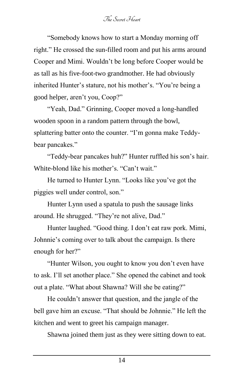"Somebody knows how to start a Monday morning off right." He crossed the sun-filled room and put his arms around Cooper and Mimi. Wouldn't be long before Cooper would be as tall as his five-foot-two grandmother. He had obviously inherited Hunter's stature, not his mother's. "You're being a good helper, aren't you, Coop?"

"Yeah, Dad." Grinning, Cooper moved a long-handled wooden spoon in a random pattern through the bowl, splattering batter onto the counter. "I'm gonna make Teddybear pancakes."

"Teddy-bear pancakes huh?" Hunter ruffled his son's hair. White-blond like his mother's. "Can't wait."

He turned to Hunter Lynn. "Looks like you've got the piggies well under control, son."

Hunter Lynn used a spatula to push the sausage links around. He shrugged. "They're not alive, Dad."

Hunter laughed. "Good thing. I don't eat raw pork. Mimi, Johnnie's coming over to talk about the campaign. Is there enough for her?"

"Hunter Wilson, you ought to know you don't even have to ask. I'll set another place." She opened the cabinet and took out a plate. "What about Shawna? Will she be eating?"

He couldn't answer that question, and the jangle of the bell gave him an excuse. "That should be Johnnie." He left the kitchen and went to greet his campaign manager.

Shawna joined them just as they were sitting down to eat.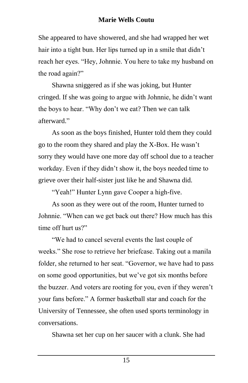She appeared to have showered, and she had wrapped her wet hair into a tight bun. Her lips turned up in a smile that didn't reach her eyes. "Hey, Johnnie. You here to take my husband on the road again?"

Shawna sniggered as if she was joking, but Hunter cringed. If she was going to argue with Johnnie, he didn't want the boys to hear. "Why don't we eat? Then we can talk afterward."

As soon as the boys finished, Hunter told them they could go to the room they shared and play the X-Box. He wasn't sorry they would have one more day off school due to a teacher workday. Even if they didn't show it, the boys needed time to grieve over their half-sister just like he and Shawna did.

"Yeah!" Hunter Lynn gave Cooper a high-five.

As soon as they were out of the room, Hunter turned to Johnnie. "When can we get back out there? How much has this time off hurt us?"

"We had to cancel several events the last couple of weeks." She rose to retrieve her briefcase. Taking out a manila folder, she returned to her seat. "Governor, we have had to pass on some good opportunities, but we've got six months before the buzzer. And voters are rooting for you, even if they weren't your fans before." A former basketball star and coach for the University of Tennessee, she often used sports terminology in conversations.

Shawna set her cup on her saucer with a clunk. She had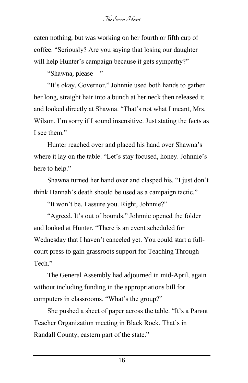eaten nothing, but was working on her fourth or fifth cup of coffee. "Seriously? Are you saying that losing our daughter will help Hunter's campaign because it gets sympathy?"

"Shawna, please—"

"It's okay, Governor." Johnnie used both hands to gather her long, straight hair into a bunch at her neck then released it and looked directly at Shawna. "That's not what I meant, Mrs. Wilson. I'm sorry if I sound insensitive. Just stating the facts as I see them."

Hunter reached over and placed his hand over Shawna's where it lay on the table. "Let's stay focused, honey. Johnnie's here to help."

Shawna turned her hand over and clasped his. "I just don't think Hannah's death should be used as a campaign tactic."

"It won't be. I assure you. Right, Johnnie?"

"Agreed. It's out of bounds." Johnnie opened the folder and looked at Hunter. "There is an event scheduled for Wednesday that I haven't canceled yet. You could start a fullcourt press to gain grassroots support for Teaching Through Tech."

The General Assembly had adjourned in mid-April, again without including funding in the appropriations bill for computers in classrooms. "What's the group?"

She pushed a sheet of paper across the table. "It's a Parent Teacher Organization meeting in Black Rock. That's in Randall County, eastern part of the state."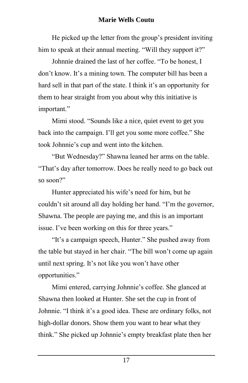He picked up the letter from the group's president inviting him to speak at their annual meeting. "Will they support it?"

Johnnie drained the last of her coffee. "To be honest, I don't know. It's a mining town. The computer bill has been a hard sell in that part of the state. I think it's an opportunity for them to hear straight from you about why this initiative is important."

Mimi stood. "Sounds like a nice, quiet event to get you back into the campaign. I'll get you some more coffee." She took Johnnie's cup and went into the kitchen.

"But Wednesday?" Shawna leaned her arms on the table. "That's day after tomorrow. Does he really need to go back out so soon?"

Hunter appreciated his wife's need for him, but he couldn't sit around all day holding her hand. "I'm the governor, Shawna. The people are paying me, and this is an important issue. I've been working on this for three years."

"It's a campaign speech, Hunter." She pushed away from the table but stayed in her chair. "The bill won't come up again until next spring. It's not like you won't have other opportunities."

Mimi entered, carrying Johnnie's coffee. She glanced at Shawna then looked at Hunter. She set the cup in front of Johnnie. "I think it's a good idea. These are ordinary folks, not high-dollar donors. Show them you want to hear what they think." She picked up Johnnie's empty breakfast plate then her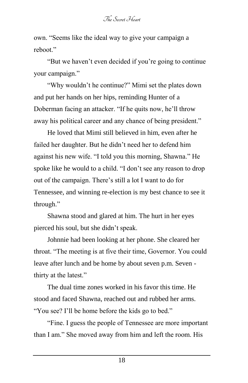own. "Seems like the ideal way to give your campaign a reboot."

"But we haven't even decided if you're going to continue your campaign."

"Why wouldn't he continue?" Mimi set the plates down and put her hands on her hips, reminding Hunter of a Doberman facing an attacker. "If he quits now, he'll throw away his political career and any chance of being president."

He loved that Mimi still believed in him, even after he failed her daughter. But he didn't need her to defend him against his new wife. "I told you this morning, Shawna." He spoke like he would to a child. "I don't see any reason to drop out of the campaign. There's still a lot I want to do for Tennessee, and winning re-election is my best chance to see it through."

Shawna stood and glared at him. The hurt in her eyes pierced his soul, but she didn't speak.

Johnnie had been looking at her phone. She cleared her throat. "The meeting is at five their time, Governor. You could leave after lunch and be home by about seven p.m. Seven thirty at the latest."

The dual time zones worked in his favor this time. He stood and faced Shawna, reached out and rubbed her arms. "You see? I'll be home before the kids go to bed."

"Fine. I guess the people of Tennessee are more important than I am." She moved away from him and left the room. His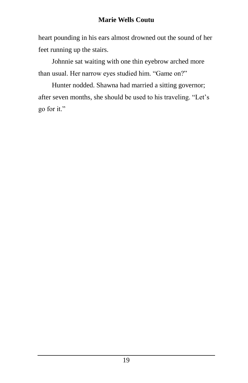heart pounding in his ears almost drowned out the sound of her feet running up the stairs.

Johnnie sat waiting with one thin eyebrow arched more than usual. Her narrow eyes studied him. "Game on?"

Hunter nodded. Shawna had married a sitting governor; after seven months, she should be used to his traveling. "Let's go for it."